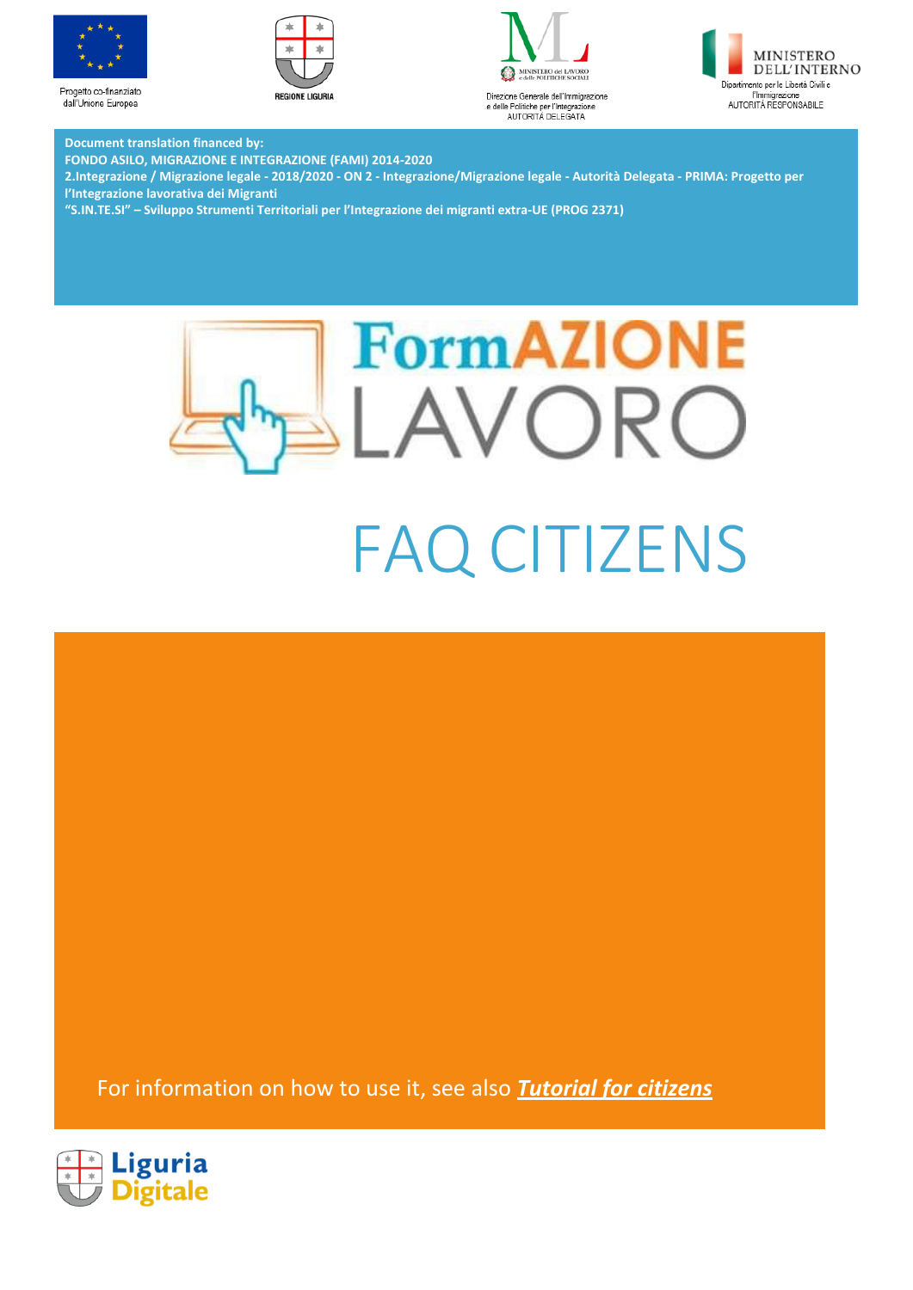

dall'Unione Europea







**Document translation financed by:**

**FONDO ASILO, MIGRAZIONE E INTEGRAZIONE (FAMI) 2014-2020**

**2.Integrazione / Migrazione legale - 2018/2020 - ON 2 - Integrazione/Migrazione legale - Autorità Delegata - PRIMA: Progetto per l'Integrazione lavorativa dei Migranti**

**"S.IN.TE.SI" – Sviluppo Strumenti Territoriali per l'Integrazione dei migranti extra-UE (PROG 2371)**





For information on how to use it, see also *[Tutorial for citizens](http://www.formazionelavoro.regione.liguria.it/allegati/formazionelavoro_tutorial_cittadini.pdf)*

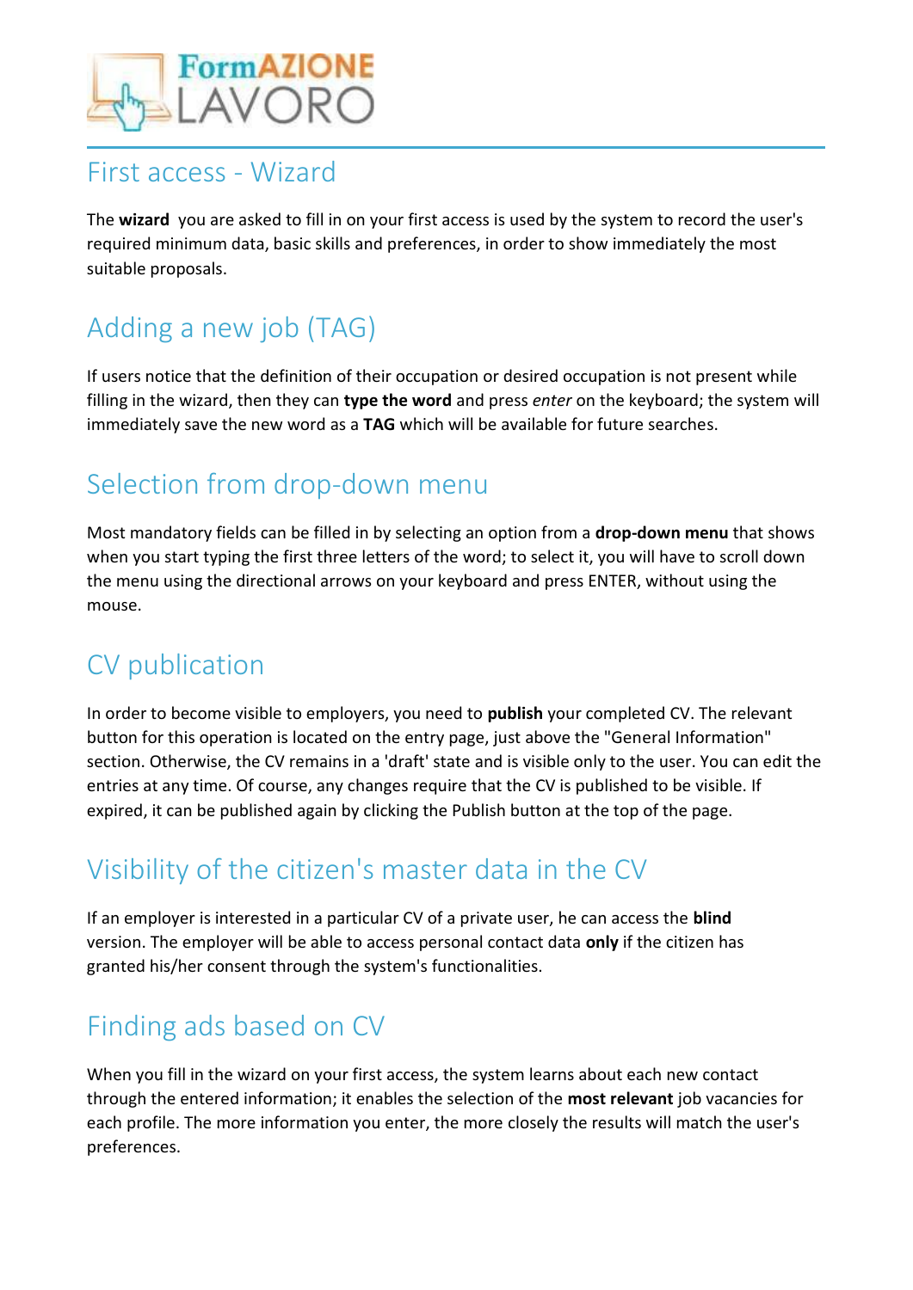

#### First access - Wizard

The **wizard** you are asked to fill in on your first access is used by the system to record the user's required minimum data, basic skills and preferences, in order to show immediately the most suitable proposals.

# Adding a new job (TAG)

If users notice that the definition of their occupation or desired occupation is not present while filling in the wizard, then they can **type the word** and press *enter* on the keyboard; the system will immediately save the new word as a **TAG** which will be available for future searches.

# Selection from drop-down menu

Most mandatory fields can be filled in by selecting an option from a **drop-down menu** that shows when you start typing the first three letters of the word; to select it, you will have to scroll down the menu using the directional arrows on your keyboard and press ENTER, without using the mouse.

### CV publication

In order to become visible to employers, you need to **publish** your completed CV. The relevant button for this operation is located on the entry page, just above the "General Information" section. Otherwise, the CV remains in a 'draft' state and is visible only to the user. You can edit the entries at any time. Of course, any changes require that the CV is published to be visible. If expired, it can be published again by clicking the Publish button at the top of the page.

## Visibility of the citizen's master data in the CV

If an employer is interested in a particular CV of a private user, he can access the **blind** version. The employer will be able to access personal contact data **only** if the citizen has granted his/her consent through the system's functionalities.

# Finding ads based on CV

When you fill in the wizard on your first access, the system learns about each new contact through the entered information; it enables the selection of the **most relevant** job vacancies for each profile. The more information you enter, the more closely the results will match the user's preferences.